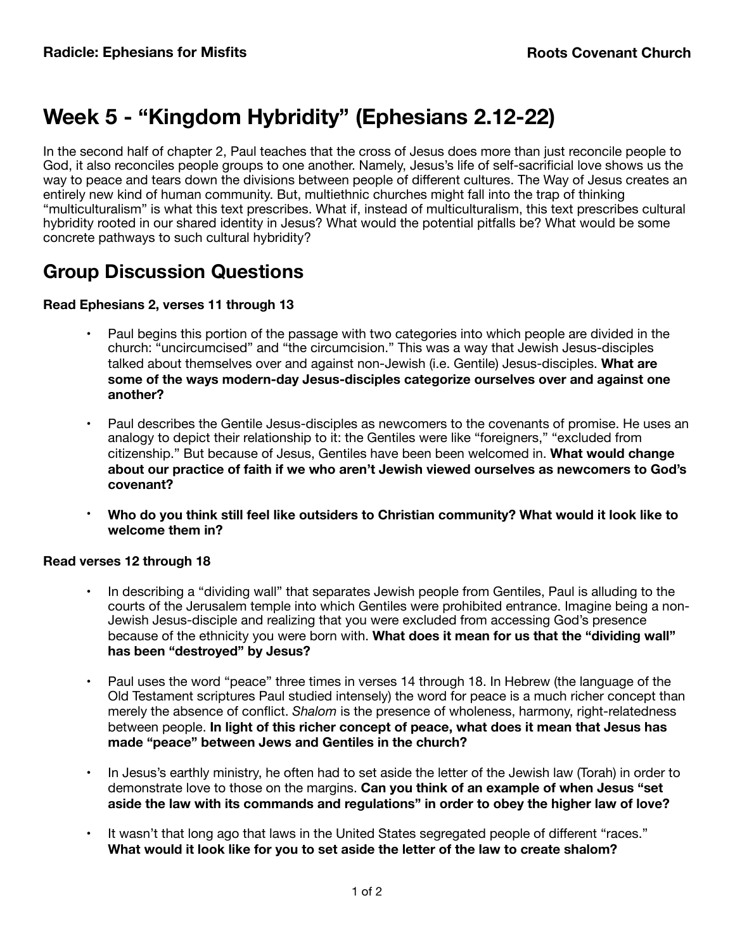# **Week 5 - "Kingdom Hybridity" (Ephesians 2.12-22)**

In the second half of chapter 2, Paul teaches that the cross of Jesus does more than just reconcile people to God, it also reconciles people groups to one another. Namely, Jesus's life of self-sacrificial love shows us the way to peace and tears down the divisions between people of different cultures. The Way of Jesus creates an entirely new kind of human community. But, multiethnic churches might fall into the trap of thinking "multiculturalism" is what this text prescribes. What if, instead of multiculturalism, this text prescribes cultural hybridity rooted in our shared identity in Jesus? What would the potential pitfalls be? What would be some concrete pathways to such cultural hybridity?

## **Group Discussion Questions**

### **Read Ephesians 2, verses 11 through 13**

- Paul begins this portion of the passage with two categories into which people are divided in the church: "uncircumcised" and "the circumcision." This was a way that Jewish Jesus-disciples talked about themselves over and against non-Jewish (i.e. Gentile) Jesus-disciples. **What are some of the ways modern-day Jesus-disciples categorize ourselves over and against one another?**
- Paul describes the Gentile Jesus-disciples as newcomers to the covenants of promise. He uses an analogy to depict their relationship to it: the Gentiles were like "foreigners," "excluded from citizenship." But because of Jesus, Gentiles have been been welcomed in. **What would change about our practice of faith if we who aren't Jewish viewed ourselves as newcomers to God's covenant?**
- **Who do you think still feel like outsiders to Christian community? What would it look like to welcome them in?**

#### **Read verses 12 through 18**

- **•** In describing a "dividing wall" that separates Jewish people from Gentiles, Paul is alluding to the courts of the Jerusalem temple into which Gentiles were prohibited entrance. Imagine being a non-Jewish Jesus-disciple and realizing that you were excluded from accessing God's presence because of the ethnicity you were born with. **What does it mean for us that the "dividing wall" has been "destroyed" by Jesus?**
- Paul uses the word "peace" three times in verses 14 through 18. In Hebrew (the language of the Old Testament scriptures Paul studied intensely) the word for peace is a much richer concept than merely the absence of conflict. *Shalom* is the presence of wholeness, harmony, right-relatedness between people. **In light of this richer concept of peace, what does it mean that Jesus has made "peace" between Jews and Gentiles in the church?**
- In Jesus's earthly ministry, he often had to set aside the letter of the Jewish law (Torah) in order to demonstrate love to those on the margins. **Can you think of an example of when Jesus "set aside the law with its commands and regulations" in order to obey the higher law of love?**
- **•** It wasn't that long ago that laws in the United States segregated people of different "races." **What would it look like for you to set aside the letter of the law to create shalom?**